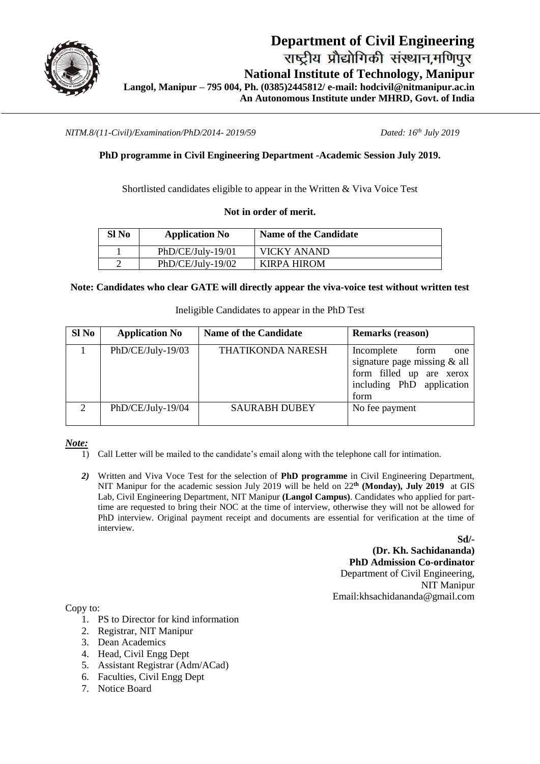

*NITM.8/(11-Civil)/Examination/PhD/2014- 2019/59 Dated: 16th July 2019*

## **PhD programme in Civil Engineering Department -Academic Session July 2019.**

Shortlisted candidates eligible to appear in the Written & Viva Voice Test

#### **Not in order of merit.**

| Sl No | <b>Application No</b> | <b>Name of the Candidate</b> |
|-------|-----------------------|------------------------------|
|       | $PhD/CE/July-19/01$   | VICKY ANAND                  |
|       | $PhD/CE/July-19/02$   | KIRPA HIROM                  |

#### **Note: Candidates who clear GATE will directly appear the viva-voice test without written test**

Ineligible Candidates to appear in the PhD Test

| $SI$ No | <b>Application No</b> | <b>Name of the Candidate</b> | <b>Remarks (reason)</b>                                                                                                    |  |
|---------|-----------------------|------------------------------|----------------------------------------------------------------------------------------------------------------------------|--|
|         | PhD/CE/July-19/03     | <b>THATIKONDA NARESH</b>     | Incomplete<br>form<br>one<br>signature page missing & all<br>form filled up are xerox<br>including PhD application<br>form |  |
| 2       | PhD/CE/July-19/04     | <b>SAURABH DUBEY</b>         | No fee payment                                                                                                             |  |

*Note:* 

- 1) Call Letter will be mailed to the candidate's email along with the telephone call for intimation.
- *2)* Written and Viva Voce Test for the selection of **PhD programme** in Civil Engineering Department, NIT Manipur for the academic session July 2019 will be held on 22**th (Monday), July 2019** at GIS Lab, Civil Engineering Department, NIT Manipur **(Langol Campus)**. Candidates who applied for parttime are requested to bring their NOC at the time of interview, otherwise they will not be allowed for PhD interview. Original payment receipt and documents are essential for verification at the time of interview.

**Sd/- (Dr. Kh. Sachidananda) PhD Admission Co-ordinator** Department of Civil Engineering, NIT Manipur Email:khsachidananda@gmail.com

Copy to:

- 1. PS to Director for kind information
- 2. Registrar, NIT Manipur
- 3. Dean Academics
- 4. Head, Civil Engg Dept
- 5. Assistant Registrar (Adm/ACad)
- 6. Faculties, Civil Engg Dept
- 7. Notice Board